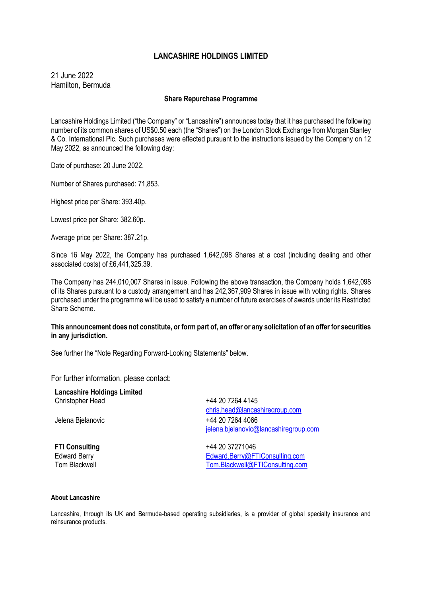# **LANCASHIRE HOLDINGS LIMITED**

21 June 2022 Hamilton, Bermuda

## **Share Repurchase Programme**

Lancashire Holdings Limited ("the Company" or "Lancashire") announces today that it has purchased the following number of its common shares of US\$0.50 each (the "Shares") on the London Stock Exchange from Morgan Stanley & Co. International Plc. Such purchases were effected pursuant to the instructions issued by the Company on 12 May 2022, as announced the following day:

Date of purchase: 20 June 2022.

Number of Shares purchased: 71,853.

Highest price per Share: 393.40p.

Lowest price per Share: 382.60p.

Average price per Share: 387.21p.

Since 16 May 2022, the Company has purchased 1,642,098 Shares at a cost (including dealing and other associated costs) of £6,441,325.39.

The Company has 244,010,007 Shares in issue. Following the above transaction, the Company holds 1,642,098 of its Shares pursuant to a custody arrangement and has 242,367,909 Shares in issue with voting rights. Shares purchased under the programme will be used to satisfy a number of future exercises of awards under its Restricted Share Scheme.

## **This announcement does not constitute, or form part of, an offer or any solicitation of an offer for securities in any jurisdiction.**

See further the "Note Regarding Forward-Looking Statements" below.

For further information, please contact:

**Lancashire Holdings Limited** Christopher Head **1988** +44 20 7264 4145

[chris.head@lancashiregroup.com](mailto:chris.head@lancashiregroup.com) Jelena Bjelanovic +44 20 7264 4066 [jelena.bjelanovic@lancashiregroup.com](mailto:jelena.bjelanovic@lancashiregroup.com)

**FTI Consulting**  $+442037271046$ Edward Berry [Edward.Berry@FTIConsulting.com](mailto:Edward.Berry@FTIConsulting.com) Tom Blackwell [Tom.Blackwell@FTIConsulting.com](mailto:Tom.Blackwell@FTIConsulting.com)

### **About Lancashire**

Lancashire, through its UK and Bermuda-based operating subsidiaries, is a provider of global specialty insurance and reinsurance products.